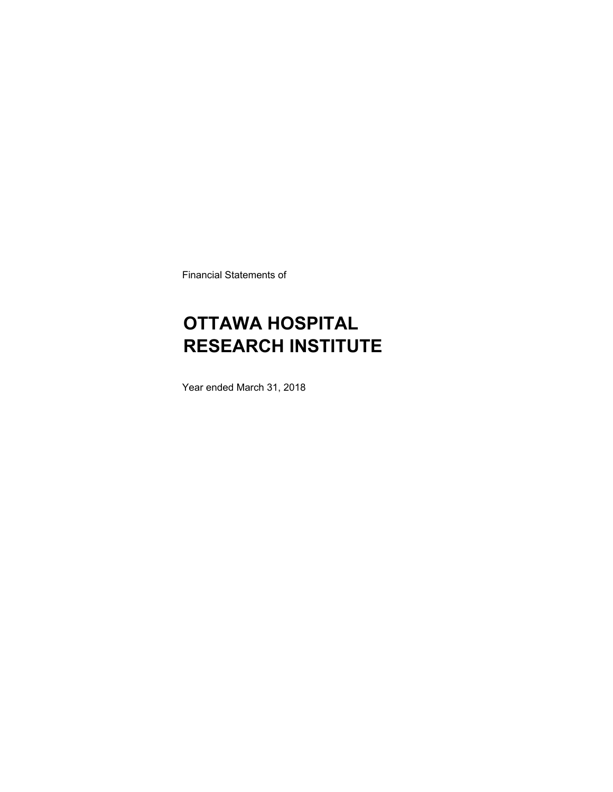Financial Statements of

# **OTTAWA HOSPITAL RESEARCH INSTITUTE**

Year ended March 31, 2018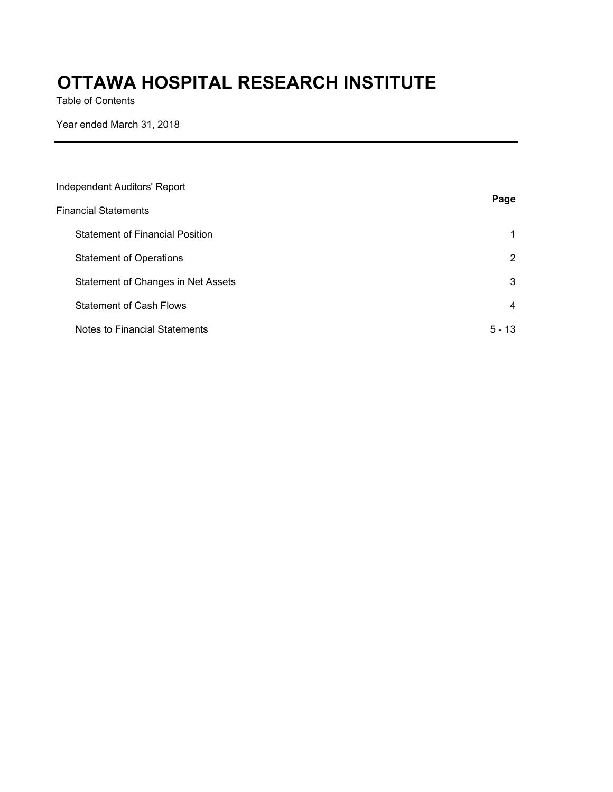Table of Contents

Year ended March 31, 2018

| Independent Auditors' Report           |          |
|----------------------------------------|----------|
| <b>Financial Statements</b>            | Page     |
| <b>Statement of Financial Position</b> | 1        |
| <b>Statement of Operations</b>         | 2        |
| Statement of Changes in Net Assets     | 3        |
| <b>Statement of Cash Flows</b>         | 4        |
| Notes to Financial Statements          | $5 - 13$ |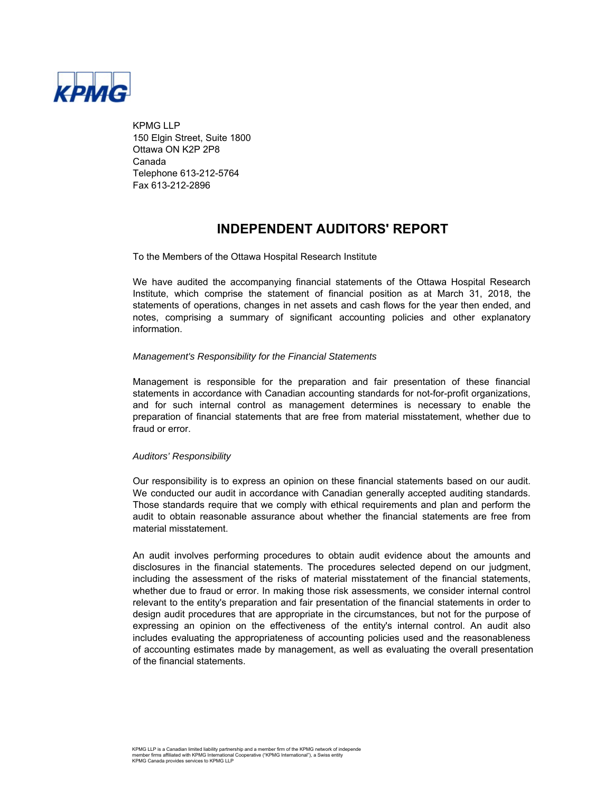

KPMG LLP 150 Elgin Street, Suite 1800 Ottawa ON K2P 2P8 Canada Telephone 613-212-5764 Fax 613-212-2896

### **INDEPENDENT AUDITORS' REPORT**

To the Members of the Ottawa Hospital Research Institute

We have audited the accompanying financial statements of the Ottawa Hospital Research Institute, which comprise the statement of financial position as at March 31, 2018, the statements of operations, changes in net assets and cash flows for the year then ended, and notes, comprising a summary of significant accounting policies and other explanatory information.

#### *Management's Responsibility for the Financial Statements*

Management is responsible for the preparation and fair presentation of these financial statements in accordance with Canadian accounting standards for not-for-profit organizations, and for such internal control as management determines is necessary to enable the preparation of financial statements that are free from material misstatement, whether due to fraud or error.

#### *Auditors' Responsibility*

Our responsibility is to express an opinion on these financial statements based on our audit. We conducted our audit in accordance with Canadian generally accepted auditing standards. Those standards require that we comply with ethical requirements and plan and perform the audit to obtain reasonable assurance about whether the financial statements are free from material misstatement.

An audit involves performing procedures to obtain audit evidence about the amounts and disclosures in the financial statements. The procedures selected depend on our judgment, including the assessment of the risks of material misstatement of the financial statements, whether due to fraud or error. In making those risk assessments, we consider internal control relevant to the entity's preparation and fair presentation of the financial statements in order to design audit procedures that are appropriate in the circumstances, but not for the purpose of expressing an opinion on the effectiveness of the entity's internal control. An audit also includes evaluating the appropriateness of accounting policies used and the reasonableness of accounting estimates made by management, as well as evaluating the overall presentation of the financial statements.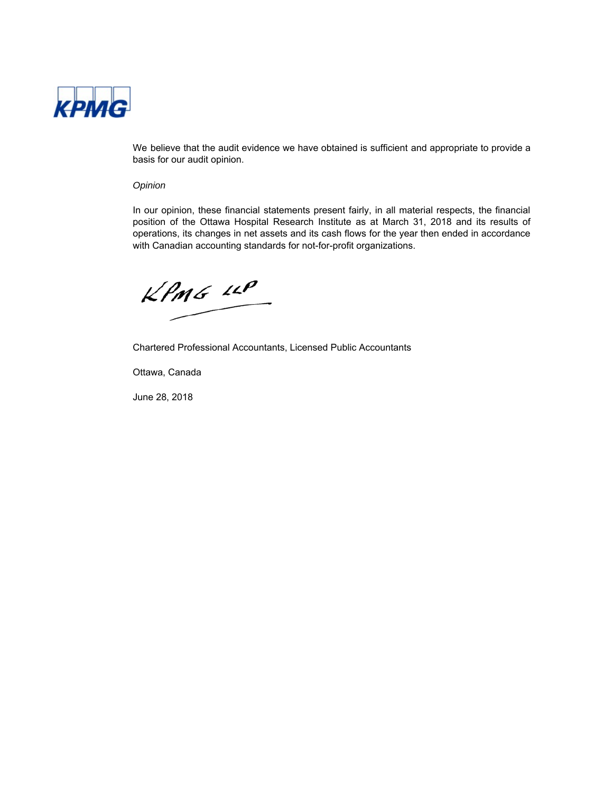

We believe that the audit evidence we have obtained is sufficient and appropriate to provide a basis for our audit opinion.

#### *Opinion*

In our opinion, these financial statements present fairly, in all material respects, the financial position of the Ottawa Hospital Research Institute as at March 31, 2018 and its results of operations, its changes in net assets and its cash flows for the year then ended in accordance with Canadian accounting standards for not-for-profit organizations.

KPMG LLP

Chartered Professional Accountants, Licensed Public Accountants

Ottawa, Canada

June 28, 2018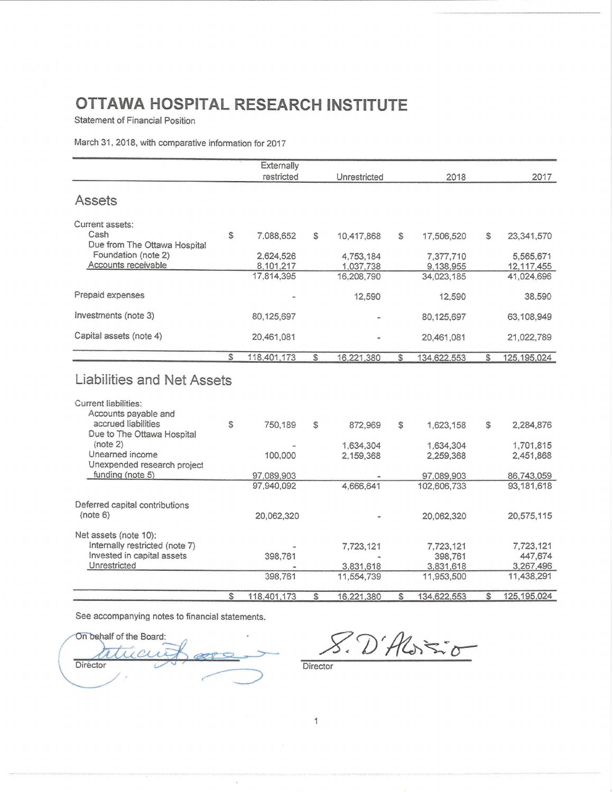**Statement of Financial Position** 

March 31, 2018, with comparative information for 2017

|                                                                                                       |              | Externally             |    |                        |    |                                   |              |                                   |
|-------------------------------------------------------------------------------------------------------|--------------|------------------------|----|------------------------|----|-----------------------------------|--------------|-----------------------------------|
|                                                                                                       |              | restricted             |    | Unrestricted           |    | 2018                              |              | 2017                              |
| <b>Assets</b>                                                                                         |              |                        |    |                        |    |                                   |              |                                   |
| Current assets:<br>Cash<br>Due from The Ottawa Hospital                                               | \$           | 7,088,652              | S  | 10,417,868             | S  | 17,506,520                        | $\mathbb{S}$ | 23,341,570                        |
| Foundation (note 2)<br>Accounts receivable                                                            |              | 2,624,526<br>8,101,217 |    | 4,753,184<br>1.037.738 |    | 7,377,710<br>9,138,955            |              | 5,565,671<br>12, 117, 455         |
|                                                                                                       |              | 17,814,395             |    | 16,208,790             |    | 34,023,185                        |              | 41,024,696                        |
| Prepaid expenses                                                                                      |              |                        |    | 12,590                 |    | 12,590                            |              | 38,590                            |
| Investments (note 3)                                                                                  |              | 80,125,697             |    |                        |    | 80,125,697                        |              | 63,108,949                        |
| Capital assets (note 4)                                                                               |              | 20,461,081             |    |                        |    | 20,461,081                        |              | 21,022,789                        |
|                                                                                                       | $\mathbb{S}$ | 118,401,173            | S. | 16,221,380             | \$ | 134,622.553                       | S.           | 125, 195, 024                     |
| <b>Liabilities and Net Assets</b><br><b>Current liabilities:</b>                                      |              |                        |    |                        |    |                                   |              |                                   |
| Accounts payable and<br>accrued liabilities<br>Due to The Ottawa Hospital                             | \$           | 750,189                | \$ | 872,969                | \$ | 1,623,158                         | $\mathbb{S}$ | 2,284,876                         |
| (note 2)<br>Unearned income<br>Unexpended research project                                            |              | 100,000                |    | 1,634,304<br>2,159,368 |    | 1,634,304<br>2,259,368            |              | 1,701,815<br>2,451,868            |
| funding (note 5)                                                                                      |              | 97,089,903             |    |                        |    | 97,089,903                        |              | 86,743,059                        |
|                                                                                                       |              | 97,940,092             |    | 4,666,641              |    | 102,606,733                       |              | 93,181,618                        |
| Deferred capital contributions<br>(note 6)                                                            |              | 20,062,320             |    |                        |    | 20,062,320                        |              | 20,575,115                        |
| Net assets (note 10):<br>Internally restricted (note 7)<br>Invested in capital assets<br>Unrestricted |              | 398,761                |    | 7,723,121<br>3,831,618 |    | 7,723,121<br>398,761<br>3,831,618 |              | 7,723,121<br>447,674<br>3.267.496 |
|                                                                                                       |              | 398,761                |    | 11,554,739             |    | 11,953,500                        |              | 11,438,291                        |
|                                                                                                       | S            | 118,401,173            | S  | 16,221,380             | S  | 134,622,553                       | S            | 125, 195, 024                     |

See accompanying notes to financial statements.

On behalf of the Board: Diréctor

8. D'Aloisio

Director

 $\hat{\varphi}$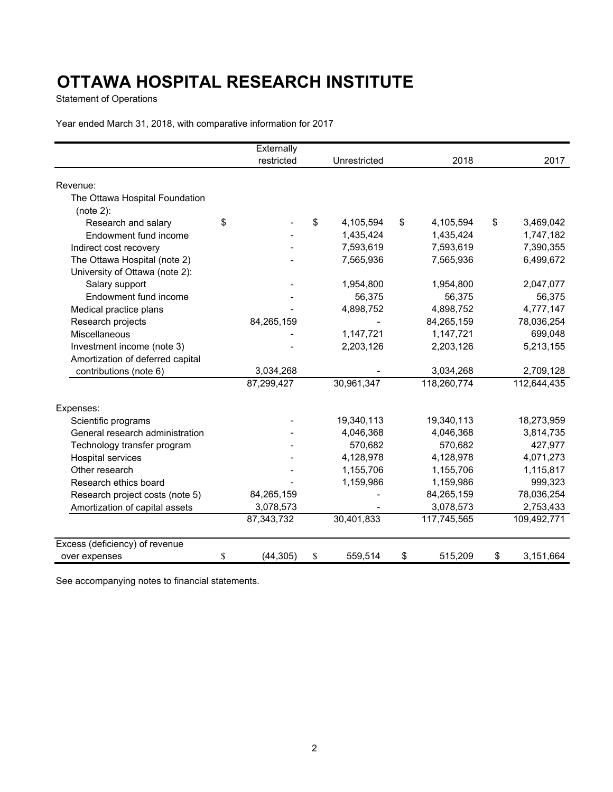Statement of Operations

Year ended March 31, 2018, with comparative information for 2017

|                                  | Externally      |                 |                 |                 |
|----------------------------------|-----------------|-----------------|-----------------|-----------------|
|                                  | restricted      | Unrestricted    | 2018            | 2017            |
|                                  |                 |                 |                 |                 |
| Revenue:                         |                 |                 |                 |                 |
| The Ottawa Hospital Foundation   |                 |                 |                 |                 |
| (note 2):                        |                 |                 |                 |                 |
| Research and salary              | \$              | \$<br>4,105,594 | \$<br>4,105,594 | \$<br>3,469,042 |
| Endowment fund income            |                 | 1,435,424       | 1,435,424       | 1,747,182       |
| Indirect cost recovery           |                 | 7,593,619       | 7,593,619       | 7,390,355       |
| The Ottawa Hospital (note 2)     |                 | 7,565,936       | 7,565,936       | 6,499,672       |
| University of Ottawa (note 2):   |                 |                 |                 |                 |
| Salary support                   |                 | 1,954,800       | 1,954,800       | 2,047,077       |
| Endowment fund income            |                 | 56,375          | 56,375          | 56,375          |
| Medical practice plans           |                 | 4,898,752       | 4,898,752       | 4,777,147       |
| Research projects                | 84,265,159      |                 | 84,265,159      | 78,036,254      |
| Miscellaneous                    |                 | 1,147,721       | 1,147,721       | 699,048         |
| Investment income (note 3)       |                 | 2,203,126       | 2,203,126       | 5,213,155       |
| Amortization of deferred capital |                 |                 |                 |                 |
| contributions (note 6)           | 3,034,268       |                 | 3,034,268       | 2,709,128       |
|                                  | 87,299,427      | 30,961,347      | 118,260,774     | 112,644,435     |
|                                  |                 |                 |                 |                 |
| Expenses:                        |                 |                 |                 |                 |
| Scientific programs              |                 | 19,340,113      | 19,340,113      | 18,273,959      |
| General research administration  |                 | 4,046,368       | 4,046,368       | 3,814,735       |
| Technology transfer program      |                 | 570,682         | 570,682         | 427,977         |
| Hospital services                |                 | 4,128,978       | 4,128,978       | 4,071,273       |
| Other research                   |                 | 1,155,706       | 1,155,706       | 1,115,817       |
| Research ethics board            |                 | 1,159,986       | 1,159,986       | 999,323         |
| Research project costs (note 5)  | 84,265,159      |                 | 84,265,159      | 78,036,254      |
| Amortization of capital assets   | 3,078,573       |                 | 3,078,573       | 2,753,433       |
|                                  | 87,343,732      | 30,401,833      | 117,745,565     | 109,492,771     |
| Excess (deficiency) of revenue   |                 |                 |                 |                 |
| over expenses                    | \$<br>(44, 305) | \$<br>559,514   | \$<br>515,209   | \$<br>3,151,664 |

See accompanying notes to financial statements.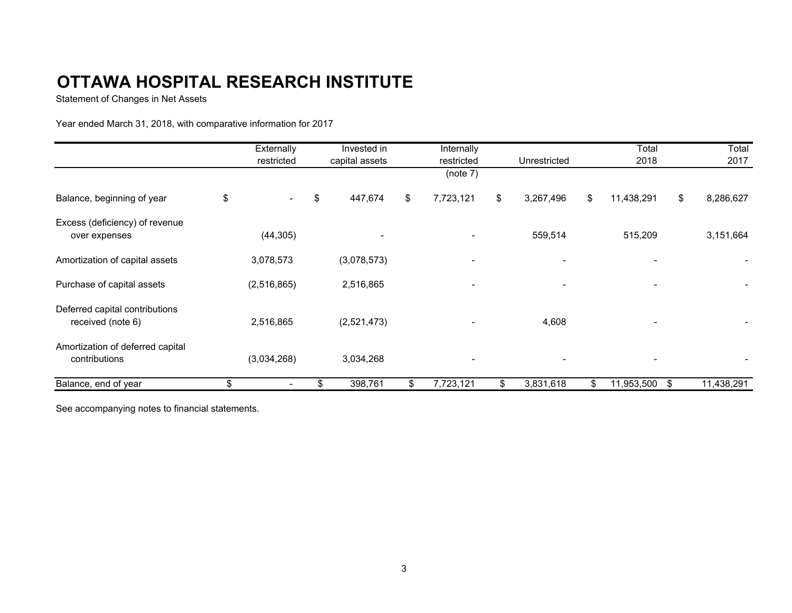Statement of Changes in Net Assets

Year ended March 31, 2018, with comparative information for 2017

|                                                     | Externally  |         | Invested in    | Internally      |                 | Total            |    | Total      |
|-----------------------------------------------------|-------------|---------|----------------|-----------------|-----------------|------------------|----|------------|
|                                                     | restricted  |         | capital assets | restricted      | Unrestricted    | 2018             |    | 2017       |
|                                                     |             |         |                | (note 7)        |                 |                  |    |            |
| Balance, beginning of year                          | \$          | \$<br>- | 447,674        | \$<br>7,723,121 | \$<br>3,267,496 | \$<br>11,438,291 | S  | 8,286,627  |
| Excess (deficiency) of revenue<br>over expenses     | (44, 305)   |         |                |                 | 559,514         | 515,209          |    | 3,151,664  |
| Amortization of capital assets                      | 3,078,573   |         | (3,078,573)    |                 |                 |                  |    |            |
| Purchase of capital assets                          | (2,516,865) |         | 2,516,865      |                 |                 | $\blacksquare$   |    |            |
| Deferred capital contributions<br>received (note 6) | 2,516,865   |         | (2,521,473)    |                 | 4,608           |                  |    |            |
| Amortization of deferred capital<br>contributions   | (3,034,268) |         | 3,034,268      |                 |                 | $\blacksquare$   |    |            |
| Balance, end of year                                | \$          |         | 398,761<br>S.  | \$<br>7,723,121 | \$<br>3,831,618 | \$<br>11,953,500 | \$ | 11,438,291 |

See accompanying notes to financial statements.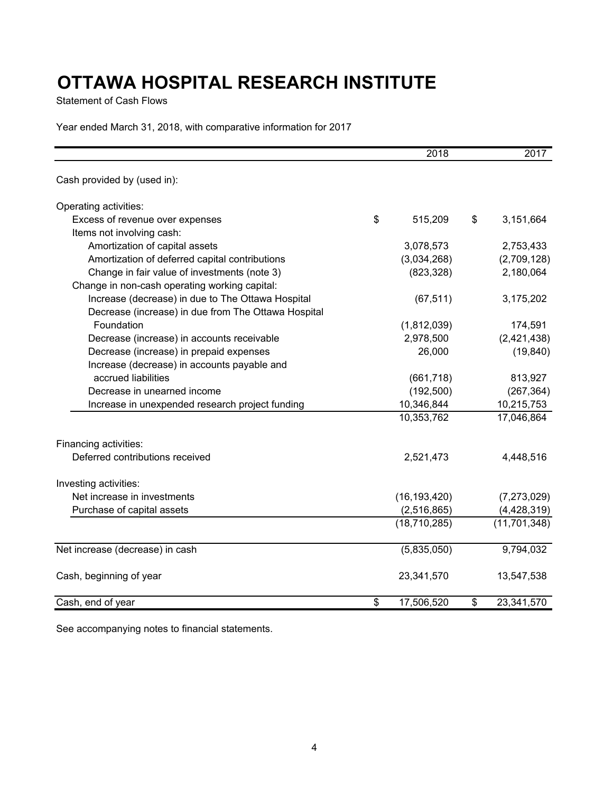Statement of Cash Flows

Year ended March 31, 2018, with comparative information for 2017

|                                                     | 2018             | 2017             |
|-----------------------------------------------------|------------------|------------------|
| Cash provided by (used in):                         |                  |                  |
| Operating activities:                               |                  |                  |
| Excess of revenue over expenses                     | \$<br>515,209    | \$<br>3,151,664  |
| Items not involving cash:                           |                  |                  |
| Amortization of capital assets                      | 3,078,573        | 2,753,433        |
| Amortization of deferred capital contributions      | (3,034,268)      | (2,709,128)      |
| Change in fair value of investments (note 3)        | (823, 328)       | 2,180,064        |
| Change in non-cash operating working capital:       |                  |                  |
| Increase (decrease) in due to The Ottawa Hospital   | (67, 511)        | 3,175,202        |
| Decrease (increase) in due from The Ottawa Hospital |                  |                  |
| Foundation                                          | (1,812,039)      | 174,591          |
| Decrease (increase) in accounts receivable          | 2,978,500        | (2,421,438)      |
| Decrease (increase) in prepaid expenses             | 26,000           | (19, 840)        |
| Increase (decrease) in accounts payable and         |                  |                  |
| accrued liabilities                                 | (661, 718)       | 813,927          |
| Decrease in unearned income                         | (192, 500)       | (267, 364)       |
| Increase in unexpended research project funding     | 10,346,844       | 10,215,753       |
|                                                     | 10,353,762       | 17,046,864       |
| Financing activities:                               |                  |                  |
| Deferred contributions received                     | 2,521,473        | 4,448,516        |
| Investing activities:                               |                  |                  |
| Net increase in investments                         | (16, 193, 420)   | (7, 273, 029)    |
| Purchase of capital assets                          | (2,516,865)      | (4, 428, 319)    |
|                                                     | (18, 710, 285)   | (11, 701, 348)   |
| Net increase (decrease) in cash                     | (5,835,050)      | 9,794,032        |
|                                                     |                  |                  |
| Cash, beginning of year                             | 23,341,570       | 13,547,538       |
| Cash, end of year                                   | \$<br>17,506,520 | \$<br>23,341,570 |

See accompanying notes to financial statements.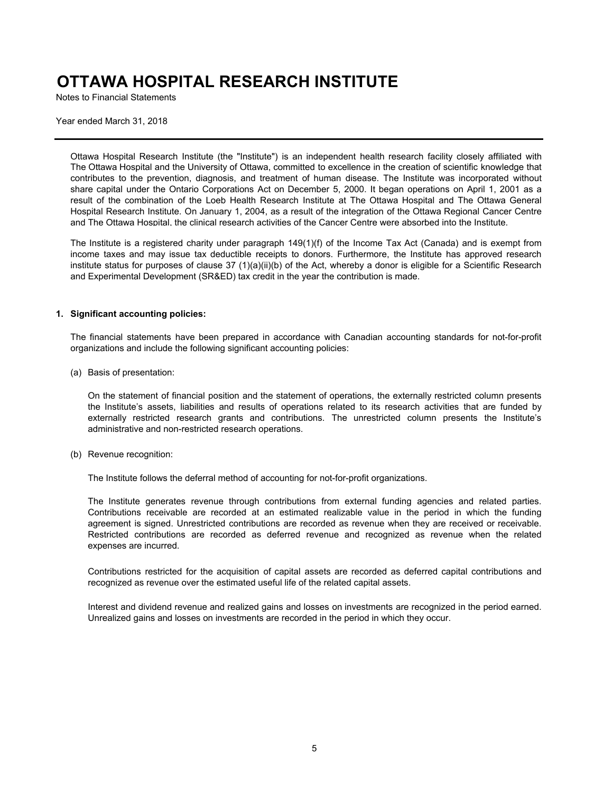Notes to Financial Statements

Year ended March 31, 2018

Ottawa Hospital Research Institute (the "Institute") is an independent health research facility closely affiliated with The Ottawa Hospital and the University of Ottawa, committed to excellence in the creation of scientific knowledge that contributes to the prevention, diagnosis, and treatment of human disease. The Institute was incorporated without share capital under the Ontario Corporations Act on December 5, 2000. It began operations on April 1, 2001 as a result of the combination of the Loeb Health Research Institute at The Ottawa Hospital and The Ottawa General Hospital Research Institute. On January 1, 2004, as a result of the integration of the Ottawa Regional Cancer Centre and The Ottawa Hospital, the clinical research activities of the Cancer Centre were absorbed into the Institute.

The Institute is a registered charity under paragraph 149(1)(f) of the Income Tax Act (Canada) and is exempt from income taxes and may issue tax deductible receipts to donors. Furthermore, the Institute has approved research institute status for purposes of clause 37 (1)(a)(ii)(b) of the Act, whereby a donor is eligible for a Scientific Research and Experimental Development (SR&ED) tax credit in the year the contribution is made.

#### **1. Significant accounting policies:**

The financial statements have been prepared in accordance with Canadian accounting standards for not-for-profit organizations and include the following significant accounting policies:

(a) Basis of presentation:

On the statement of financial position and the statement of operations, the externally restricted column presents the Institute's assets, liabilities and results of operations related to its research activities that are funded by externally restricted research grants and contributions. The unrestricted column presents the Institute's administrative and non-restricted research operations.

(b) Revenue recognition:

The Institute follows the deferral method of accounting for not-for-profit organizations.

The Institute generates revenue through contributions from external funding agencies and related parties. Contributions receivable are recorded at an estimated realizable value in the period in which the funding agreement is signed. Unrestricted contributions are recorded as revenue when they are received or receivable. Restricted contributions are recorded as deferred revenue and recognized as revenue when the related expenses are incurred.

Contributions restricted for the acquisition of capital assets are recorded as deferred capital contributions and recognized as revenue over the estimated useful life of the related capital assets.

Interest and dividend revenue and realized gains and losses on investments are recognized in the period earned. Unrealized gains and losses on investments are recorded in the period in which they occur.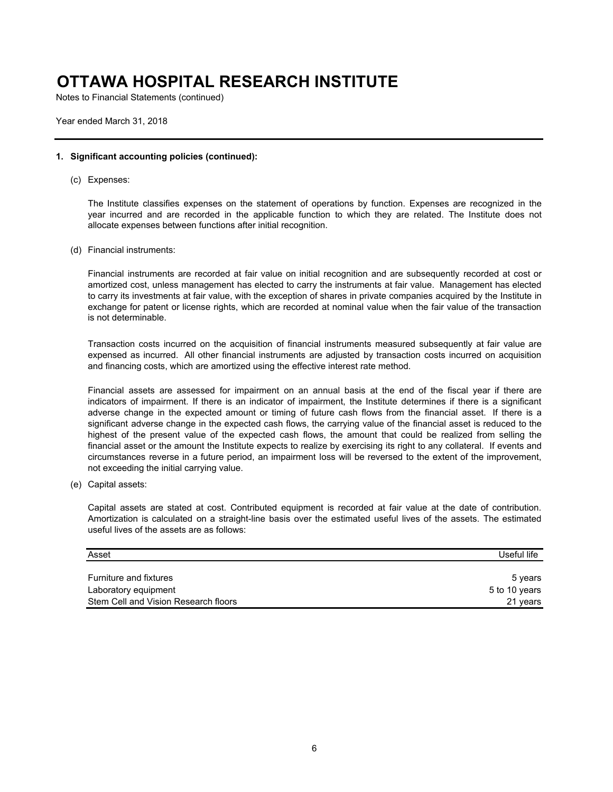Notes to Financial Statements (continued)

Year ended March 31, 2018

#### **1. Significant accounting policies (continued):**

(c) Expenses:

The Institute classifies expenses on the statement of operations by function. Expenses are recognized in the year incurred and are recorded in the applicable function to which they are related. The Institute does not allocate expenses between functions after initial recognition.

(d) Financial instruments:

Financial instruments are recorded at fair value on initial recognition and are subsequently recorded at cost or amortized cost, unless management has elected to carry the instruments at fair value. Management has elected to carry its investments at fair value, with the exception of shares in private companies acquired by the Institute in exchange for patent or license rights, which are recorded at nominal value when the fair value of the transaction is not determinable.

Transaction costs incurred on the acquisition of financial instruments measured subsequently at fair value are expensed as incurred. All other financial instruments are adjusted by transaction costs incurred on acquisition and financing costs, which are amortized using the effective interest rate method.

Financial assets are assessed for impairment on an annual basis at the end of the fiscal year if there are indicators of impairment. If there is an indicator of impairment, the Institute determines if there is a significant adverse change in the expected amount or timing of future cash flows from the financial asset. If there is a significant adverse change in the expected cash flows, the carrying value of the financial asset is reduced to the highest of the present value of the expected cash flows, the amount that could be realized from selling the financial asset or the amount the Institute expects to realize by exercising its right to any collateral. If events and circumstances reverse in a future period, an impairment loss will be reversed to the extent of the improvement, not exceeding the initial carrying value.

(e) Capital assets:

Capital assets are stated at cost. Contributed equipment is recorded at fair value at the date of contribution. Amortization is calculated on a straight-line basis over the estimated useful lives of the assets. The estimated useful lives of the assets are as follows:

| Asset                                | Useful life   |
|--------------------------------------|---------------|
|                                      |               |
| <b>Furniture and fixtures</b>        | 5 years       |
| Laboratory equipment                 | 5 to 10 years |
| Stem Cell and Vision Research floors | 21 years      |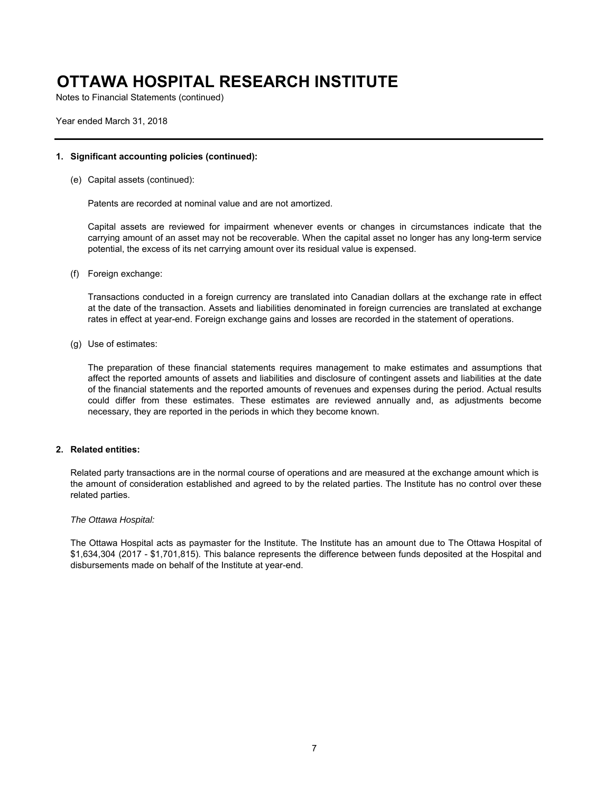Notes to Financial Statements (continued)

Year ended March 31, 2018

#### **1. Significant accounting policies (continued):**

(e) Capital assets (continued):

Patents are recorded at nominal value and are not amortized.

Capital assets are reviewed for impairment whenever events or changes in circumstances indicate that the carrying amount of an asset may not be recoverable. When the capital asset no longer has any long-term service potential, the excess of its net carrying amount over its residual value is expensed.

(f) Foreign exchange:

Transactions conducted in a foreign currency are translated into Canadian dollars at the exchange rate in effect at the date of the transaction. Assets and liabilities denominated in foreign currencies are translated at exchange rates in effect at year-end. Foreign exchange gains and losses are recorded in the statement of operations.

(g) Use of estimates:

The preparation of these financial statements requires management to make estimates and assumptions that affect the reported amounts of assets and liabilities and disclosure of contingent assets and liabilities at the date of the financial statements and the reported amounts of revenues and expenses during the period. Actual results could differ from these estimates. These estimates are reviewed annually and, as adjustments become necessary, they are reported in the periods in which they become known.

#### **2. Related entities:**

Related party transactions are in the normal course of operations and are measured at the exchange amount which is the amount of consideration established and agreed to by the related parties. The Institute has no control over these related parties.

#### *The Ottawa Hospital:*

The Ottawa Hospital acts as paymaster for the Institute. The Institute has an amount due to The Ottawa Hospital of \$1,634,304 (2017 - \$1,701,815). This balance represents the difference between funds deposited at the Hospital and disbursements made on behalf of the Institute at year-end.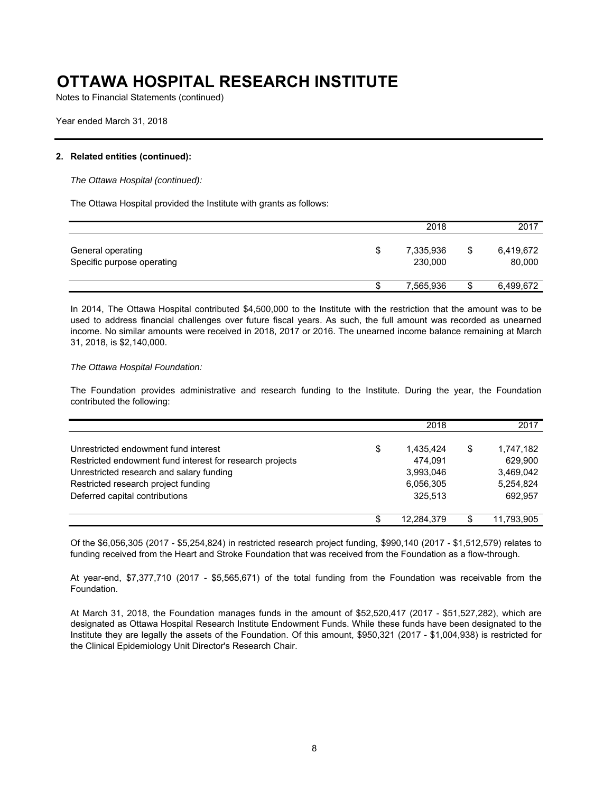Notes to Financial Statements (continued)

Year ended March 31, 2018

#### **2. Related entities (continued):**

*The Ottawa Hospital (continued):*

The Ottawa Hospital provided the Institute with grants as follows:

|                                                 | 2018                       |    | 2017                |
|-------------------------------------------------|----------------------------|----|---------------------|
| General operating<br>Specific purpose operating | \$<br>7,335,936<br>230,000 | S  | 6,419,672<br>80,000 |
|                                                 | 7,565,936                  | ۰D | 6,499,672           |

In 2014, The Ottawa Hospital contributed \$4,500,000 to the Institute with the restriction that the amount was to be used to address financial challenges over future fiscal years. As such, the full amount was recorded as unearned income. No similar amounts were received in 2018, 2017 or 2016. The unearned income balance remaining at March 31, 2018, is \$2,140,000.

#### *The Ottawa Hospital Foundation:*

The Foundation provides administrative and research funding to the Institute. During the year, the Foundation contributed the following:

|                                                          |     | 2018       |   | 2017       |
|----------------------------------------------------------|-----|------------|---|------------|
| Unrestricted endowment fund interest                     | \$  | 1,435,424  | S | 1,747,182  |
| Restricted endowment fund interest for research projects |     | 474.091    |   | 629,900    |
| Unrestricted research and salary funding                 |     | 3,993,046  |   | 3,469,042  |
| Restricted research project funding                      |     | 6,056,305  |   | 5,254,824  |
| Deferred capital contributions                           |     | 325.513    |   | 692,957    |
|                                                          |     |            |   |            |
|                                                          | \$. | 12.284.379 |   | 11,793,905 |

Of the \$6,056,305 (2017 - \$5,254,824) in restricted research project funding, \$990,140 (2017 - \$1,512,579) relates to funding received from the Heart and Stroke Foundation that was received from the Foundation as a flow-through.

At year-end, \$7,377,710 (2017 - \$5,565,671) of the total funding from the Foundation was receivable from the Foundation.

At March 31, 2018, the Foundation manages funds in the amount of \$52,520,417 (2017 - \$51,527,282), which are designated as Ottawa Hospital Research Institute Endowment Funds. While these funds have been designated to the Institute they are legally the assets of the Foundation. Of this amount, \$950,321 (2017 - \$1,004,938) is restricted for the Clinical Epidemiology Unit Director's Research Chair.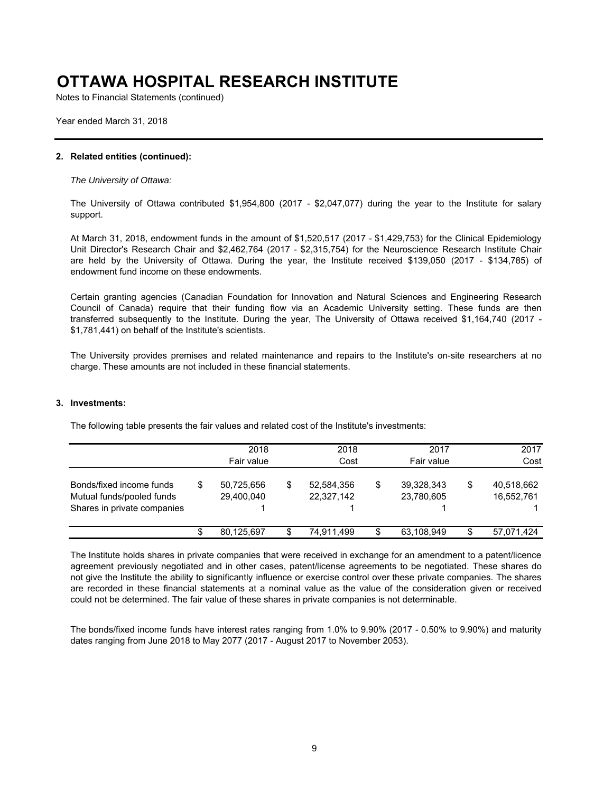Notes to Financial Statements (continued)

Year ended March 31, 2018

#### **2. Related entities (continued):**

*The University of Ottawa:*

The University of Ottawa contributed \$1,954,800 (2017 - \$2,047,077) during the year to the Institute for salary support.

At March 31, 2018, endowment funds in the amount of \$1,520,517 (2017 - \$1,429,753) for the Clinical Epidemiology Unit Director's Research Chair and \$2,462,764 (2017 - \$2,315,754) for the Neuroscience Research Institute Chair are held by the University of Ottawa. During the year, the Institute received \$139,050 (2017 - \$134,785) of endowment fund income on these endowments.

Certain granting agencies (Canadian Foundation for Innovation and Natural Sciences and Engineering Research Council of Canada) require that their funding flow via an Academic University setting. These funds are then transferred subsequently to the Institute. During the year, The University of Ottawa received \$1,164,740 (2017 - \$1,781,441) on behalf of the Institute's scientists.

The University provides premises and related maintenance and repairs to the Institute's on-site researchers at no charge. These amounts are not included in these financial statements.

#### **3. Investments:**

The following table presents the fair values and related cost of the Institute's investments:

|                                                                                      |    | 2018<br>Fair value       |   | 2018<br>Cost             |  |                          | 2017<br>Fair value |                          |
|--------------------------------------------------------------------------------------|----|--------------------------|---|--------------------------|--|--------------------------|--------------------|--------------------------|
| Bonds/fixed income funds<br>Mutual funds/pooled funds<br>Shares in private companies | \$ | 50,725,656<br>29,400,040 | S | 52.584.356<br>22,327,142 |  | 39,328,343<br>23,780,605 |                    | 40,518,662<br>16,552,761 |
|                                                                                      | S  | 80.125.697               | S | 74.911.499               |  | 63.108.949               |                    | 57.071.424               |

The Institute holds shares in private companies that were received in exchange for an amendment to a patent/licence agreement previously negotiated and in other cases, patent/license agreements to be negotiated. These shares do not give the Institute the ability to significantly influence or exercise control over these private companies. The shares are recorded in these financial statements at a nominal value as the value of the consideration given or received could not be determined. The fair value of these shares in private companies is not determinable.

The bonds/fixed income funds have interest rates ranging from 1.0% to 9.90% (2017 - 0.50% to 9.90%) and maturity dates ranging from June 2018 to May 2077 (2017 - August 2017 to November 2053).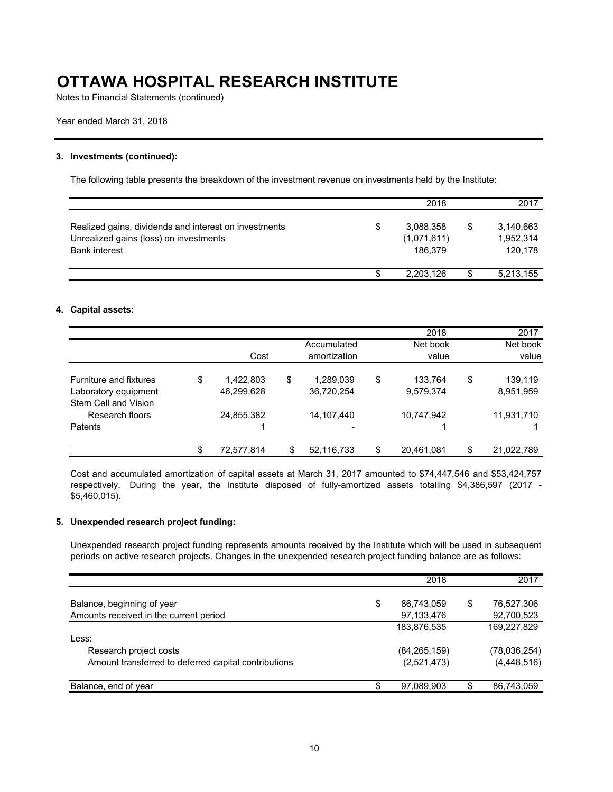Notes to Financial Statements (continued)

Year ended March 31, 2018

#### **3. Investments (continued):**

The following table presents the breakdown of the investment revenue on investments held by the Institute:

|                                                                                                                         |   | 2018                                | 2017                              |
|-------------------------------------------------------------------------------------------------------------------------|---|-------------------------------------|-----------------------------------|
| Realized gains, dividends and interest on investments<br>Unrealized gains (loss) on investments<br><b>Bank interest</b> | S | 3,088,358<br>(1,071,611)<br>186.379 | 3,140,663<br>1,952,314<br>120,178 |
|                                                                                                                         |   | 2,203,126                           | 5,213,155                         |

#### **4. Capital assets:**

|                                              |                  |                 | 2018          | 2017          |
|----------------------------------------------|------------------|-----------------|---------------|---------------|
|                                              |                  | Accumulated     | Net book      | Net book      |
|                                              | Cost             | amortization    | value         | value         |
| <b>Furniture and fixtures</b>                | \$<br>1,422,803  | \$<br>1,289,039 | \$<br>133,764 | \$<br>139,119 |
| Laboratory equipment<br>Stem Cell and Vision | 46,299,628       | 36,720,254      | 9,579,374     | 8,951,959     |
| Research floors                              | 24,855,382       | 14,107,440      | 10,747,942    | 11,931,710    |
| <b>Patents</b>                               |                  |                 |               |               |
|                                              | \$<br>72,577,814 | 52,116,733      | 20,461,081    | 21,022,789    |

Cost and accumulated amortization of capital assets at March 31, 2017 amounted to \$74,447,546 and \$53,424,757 respectively. During the year, the Institute disposed of fully-amortized assets totalling \$4,386,597 (2017 - \$5,460,015).

#### **5. Unexpended research project funding:**

Unexpended research project funding represents amounts received by the Institute which will be used in subsequent periods on active research projects. Changes in the unexpended research project funding balance are as follows:

|                                                      |     | 2018           |   | 2017         |
|------------------------------------------------------|-----|----------------|---|--------------|
|                                                      |     |                |   |              |
| Balance, beginning of year                           | \$  | 86,743,059     | S | 76,527,306   |
| Amounts received in the current period               |     | 97,133,476     |   | 92,700,523   |
|                                                      |     | 183,876,535    |   | 169,227,829  |
| Less:                                                |     |                |   |              |
| Research project costs                               |     | (84, 265, 159) |   | (78,036,254) |
| Amount transferred to deferred capital contributions |     | (2,521,473)    |   | (4,448,516)  |
| Balance, end of year                                 | \$. | 97,089,903     |   | 86,743,059   |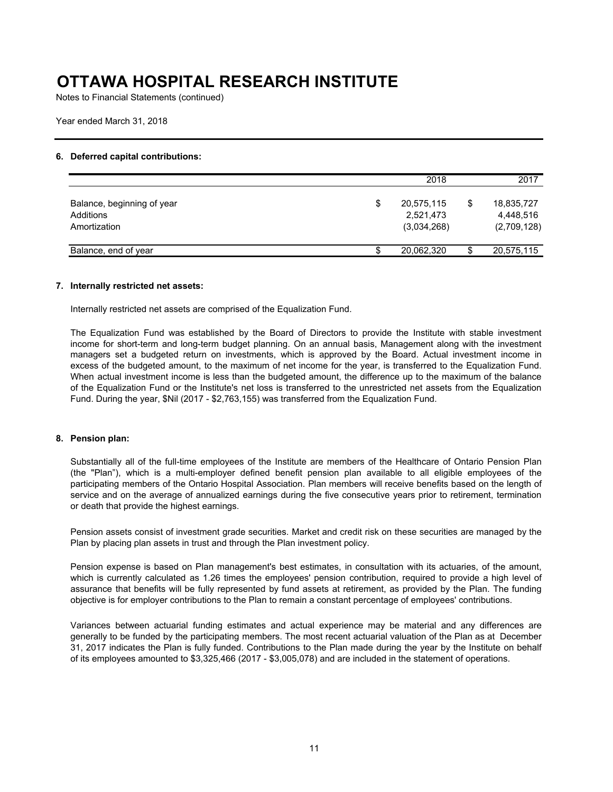Notes to Financial Statements (continued)

Year ended March 31, 2018

#### **6. Deferred capital contributions:**

|                                                         |    | 2018                                   | 2017                                   |
|---------------------------------------------------------|----|----------------------------------------|----------------------------------------|
| Balance, beginning of year<br>Additions<br>Amortization | S  | 20,575,115<br>2,521,473<br>(3,034,268) | 18,835,727<br>4,448,516<br>(2,709,128) |
| Balance, end of year                                    | \$ | 20,062,320                             | 20,575,115                             |

#### **7. Internally restricted net assets:**

Internally restricted net assets are comprised of the Equalization Fund.

The Equalization Fund was established by the Board of Directors to provide the Institute with stable investment income for short-term and long-term budget planning. On an annual basis, Management along with the investment managers set a budgeted return on investments, which is approved by the Board. Actual investment income in excess of the budgeted amount, to the maximum of net income for the year, is transferred to the Equalization Fund. When actual investment income is less than the budgeted amount, the difference up to the maximum of the balance of the Equalization Fund or the Institute's net loss is transferred to the unrestricted net assets from the Equalization Fund. During the year, \$Nil (2017 - \$2,763,155) was transferred from the Equalization Fund.

#### **8. Pension plan:**

Substantially all of the full-time employees of the Institute are members of the Healthcare of Ontario Pension Plan (the "Plan"), which is a multi-employer defined benefit pension plan available to all eligible employees of the participating members of the Ontario Hospital Association. Plan members will receive benefits based on the length of service and on the average of annualized earnings during the five consecutive years prior to retirement, termination or death that provide the highest earnings.

Pension assets consist of investment grade securities. Market and credit risk on these securities are managed by the Plan by placing plan assets in trust and through the Plan investment policy.

Pension expense is based on Plan management's best estimates, in consultation with its actuaries, of the amount, which is currently calculated as 1.26 times the employees' pension contribution, required to provide a high level of assurance that benefits will be fully represented by fund assets at retirement, as provided by the Plan. The funding objective is for employer contributions to the Plan to remain a constant percentage of employees' contributions.

Variances between actuarial funding estimates and actual experience may be material and any differences are generally to be funded by the participating members. The most recent actuarial valuation of the Plan as at December 31, 2017 indicates the Plan is fully funded. Contributions to the Plan made during the year by the Institute on behalf of its employees amounted to \$3,325,466 (2017 - \$3,005,078) and are included in the statement of operations.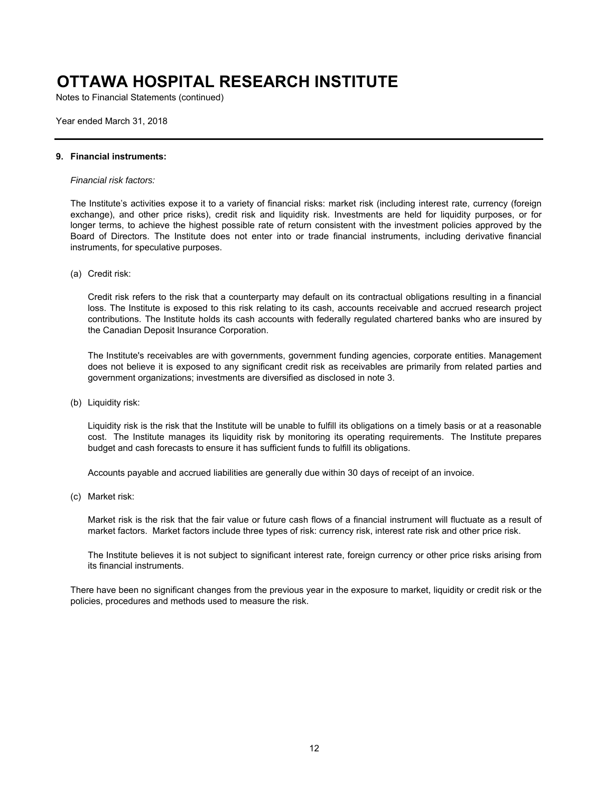Notes to Financial Statements (continued)

Year ended March 31, 2018

#### **9. Financial instruments:**

*Financial risk factors:*

The Institute's activities expose it to a variety of financial risks: market risk (including interest rate, currency (foreign exchange), and other price risks), credit risk and liquidity risk. Investments are held for liquidity purposes, or for longer terms, to achieve the highest possible rate of return consistent with the investment policies approved by the Board of Directors. The Institute does not enter into or trade financial instruments, including derivative financial instruments, for speculative purposes.

(a) Credit risk:

Credit risk refers to the risk that a counterparty may default on its contractual obligations resulting in a financial loss. The Institute is exposed to this risk relating to its cash, accounts receivable and accrued research project contributions. The Institute holds its cash accounts with federally regulated chartered banks who are insured by the Canadian Deposit Insurance Corporation.

The Institute's receivables are with governments, government funding agencies, corporate entities. Management does not believe it is exposed to any significant credit risk as receivables are primarily from related parties and government organizations; investments are diversified as disclosed in note 3.

(b) Liquidity risk:

Liquidity risk is the risk that the Institute will be unable to fulfill its obligations on a timely basis or at a reasonable cost. The Institute manages its liquidity risk by monitoring its operating requirements. The Institute prepares budget and cash forecasts to ensure it has sufficient funds to fulfill its obligations.

Accounts payable and accrued liabilities are generally due within 30 days of receipt of an invoice.

(c) Market risk:

Market risk is the risk that the fair value or future cash flows of a financial instrument will fluctuate as a result of market factors. Market factors include three types of risk: currency risk, interest rate risk and other price risk.

The Institute believes it is not subject to significant interest rate, foreign currency or other price risks arising from its financial instruments.

There have been no significant changes from the previous year in the exposure to market, liquidity or credit risk or the policies, procedures and methods used to measure the risk.